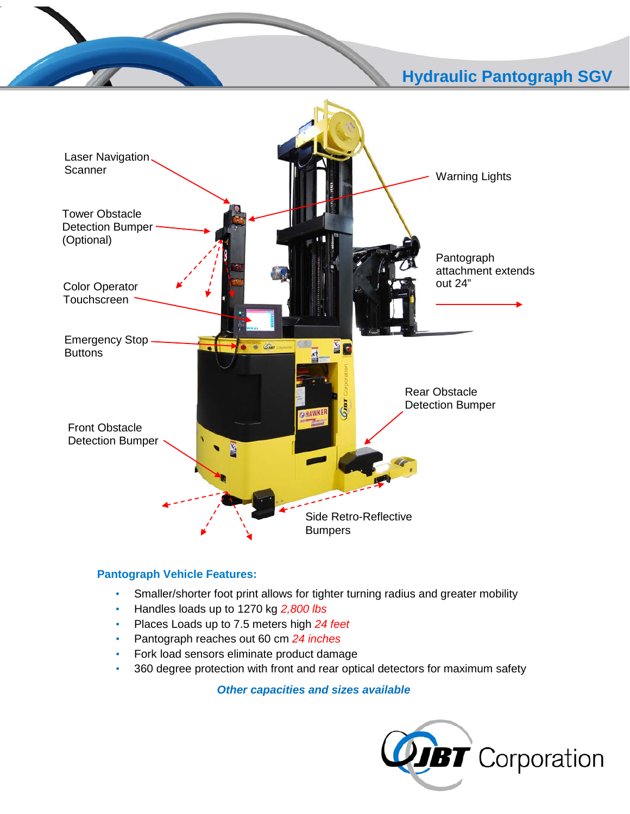## į **Hydraulic Pantograph SGV**



## **Pantograph Vehicle Features:**

- Smaller/shorter foot print allows for tighter turning radius and greater mobility
- Handles loads up to 1270 kg *2,800 lbs*
- Places Loads up to 7.5 meters high *24 feet*
- Pantograph reaches out 60 cm *24 inches*
- Fork load sensors eliminate product damage
- 360 degree protection with front and rear optical detectors for maximum safety

*Other capacities and sizes available*